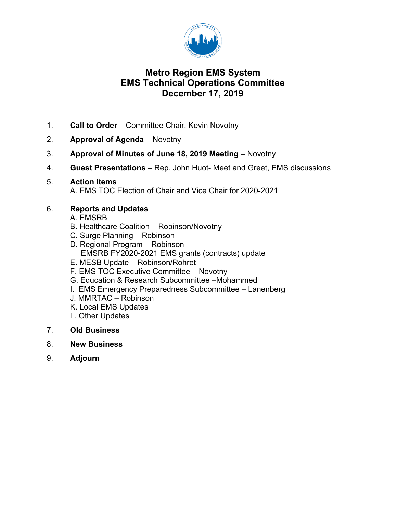

## **Metro Region EMS System EMS Technical Operations Committee December 17, 2019**

- 1. **Call to Order**  Committee Chair, Kevin Novotny
- 2. **Approval of Agenda** Novotny
- 3. **Approval of Minutes of June 18, 2019 Meeting**  Novotny
- 4. **Guest Presentations**  Rep. John Huot- Meet and Greet, EMS discussions
- 5. **Action Items**

A. EMS TOC Election of Chair and Vice Chair for 2020-2021

## 6. **Reports and Updates**

- A. EMSRB
- B. Healthcare Coalition Robinson/Novotny
- C. Surge Planning Robinson
- D. Regional Program Robinson EMSRB FY2020-2021 EMS grants (contracts) update
- E. MESB Update Robinson/Rohret
- F. EMS TOC Executive Committee Novotny
- G. Education & Research Subcommittee –Mohammed
- I. EMS Emergency Preparedness Subcommittee Lanenberg
- J. MMRTAC Robinson
- K. Local EMS Updates
- L. Other Updates
- 7. **Old Business**
- 8. **New Business**
- 9. **Adjourn**